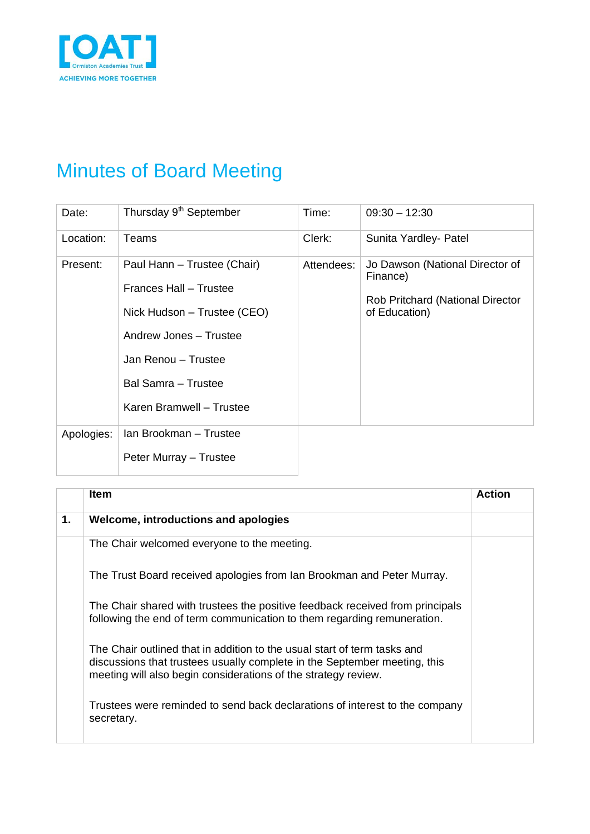

## Minutes of Board Meeting

| Date:      | Thursday 9 <sup>th</sup> September                                                                                                                                                       | Time:      | $09:30 - 12:30$                                                                                  |
|------------|------------------------------------------------------------------------------------------------------------------------------------------------------------------------------------------|------------|--------------------------------------------------------------------------------------------------|
| Location:  | Teams                                                                                                                                                                                    | Clerk:     | Sunita Yardley- Patel                                                                            |
| Present:   | Paul Hann - Trustee (Chair)<br>Frances Hall - Trustee<br>Nick Hudson – Trustee (CEO)<br>Andrew Jones - Trustee<br>Jan Renou - Trustee<br>Bal Samra - Trustee<br>Karen Bramwell - Trustee | Attendees: | Jo Dawson (National Director of<br>Finance)<br>Rob Pritchard (National Director<br>of Education) |
| Apologies: | Ian Brookman - Trustee<br>Peter Murray - Trustee                                                                                                                                         |            |                                                                                                  |

|    | <b>Item</b>                                                                                                                                                                                                             | <b>Action</b> |
|----|-------------------------------------------------------------------------------------------------------------------------------------------------------------------------------------------------------------------------|---------------|
| 1. | Welcome, introductions and apologies                                                                                                                                                                                    |               |
|    | The Chair welcomed everyone to the meeting.                                                                                                                                                                             |               |
|    | The Trust Board received apologies from Ian Brookman and Peter Murray.                                                                                                                                                  |               |
|    | The Chair shared with trustees the positive feedback received from principals<br>following the end of term communication to them regarding remuneration.                                                                |               |
|    | The Chair outlined that in addition to the usual start of term tasks and<br>discussions that trustees usually complete in the September meeting, this<br>meeting will also begin considerations of the strategy review. |               |
|    | Trustees were reminded to send back declarations of interest to the company<br>secretary.                                                                                                                               |               |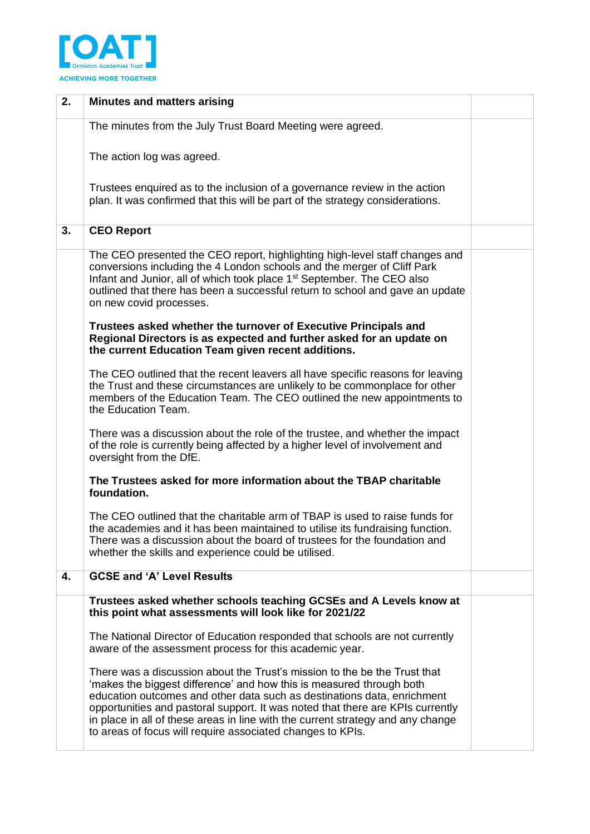

| 2. | <b>Minutes and matters arising</b>                                                                                                                                                                                                                                                                                                                                                                                                                              |  |
|----|-----------------------------------------------------------------------------------------------------------------------------------------------------------------------------------------------------------------------------------------------------------------------------------------------------------------------------------------------------------------------------------------------------------------------------------------------------------------|--|
|    | The minutes from the July Trust Board Meeting were agreed.                                                                                                                                                                                                                                                                                                                                                                                                      |  |
|    | The action log was agreed.                                                                                                                                                                                                                                                                                                                                                                                                                                      |  |
|    | Trustees enquired as to the inclusion of a governance review in the action<br>plan. It was confirmed that this will be part of the strategy considerations.                                                                                                                                                                                                                                                                                                     |  |
| 3. | <b>CEO Report</b>                                                                                                                                                                                                                                                                                                                                                                                                                                               |  |
|    | The CEO presented the CEO report, highlighting high-level staff changes and<br>conversions including the 4 London schools and the merger of Cliff Park<br>Infant and Junior, all of which took place 1 <sup>st</sup> September. The CEO also<br>outlined that there has been a successful return to school and gave an update<br>on new covid processes.                                                                                                        |  |
|    | Trustees asked whether the turnover of Executive Principals and<br>Regional Directors is as expected and further asked for an update on<br>the current Education Team given recent additions.                                                                                                                                                                                                                                                                   |  |
|    | The CEO outlined that the recent leavers all have specific reasons for leaving<br>the Trust and these circumstances are unlikely to be commonplace for other<br>members of the Education Team. The CEO outlined the new appointments to<br>the Education Team.                                                                                                                                                                                                  |  |
|    | There was a discussion about the role of the trustee, and whether the impact<br>of the role is currently being affected by a higher level of involvement and<br>oversight from the DfE.                                                                                                                                                                                                                                                                         |  |
|    | The Trustees asked for more information about the TBAP charitable<br>foundation.                                                                                                                                                                                                                                                                                                                                                                                |  |
|    | The CEO outlined that the charitable arm of TBAP is used to raise funds for<br>the academies and it has been maintained to utilise its fundraising function.<br>There was a discussion about the board of trustees for the foundation and<br>whether the skills and experience could be utilised.                                                                                                                                                               |  |
| 4. | <b>GCSE and 'A' Level Results</b>                                                                                                                                                                                                                                                                                                                                                                                                                               |  |
|    | Trustees asked whether schools teaching GCSEs and A Levels know at<br>this point what assessments will look like for 2021/22                                                                                                                                                                                                                                                                                                                                    |  |
|    | The National Director of Education responded that schools are not currently<br>aware of the assessment process for this academic year.                                                                                                                                                                                                                                                                                                                          |  |
|    | There was a discussion about the Trust's mission to the be the Trust that<br>'makes the biggest difference' and how this is measured through both<br>education outcomes and other data such as destinations data, enrichment<br>opportunities and pastoral support. It was noted that there are KPIs currently<br>in place in all of these areas in line with the current strategy and any change<br>to areas of focus will require associated changes to KPIs. |  |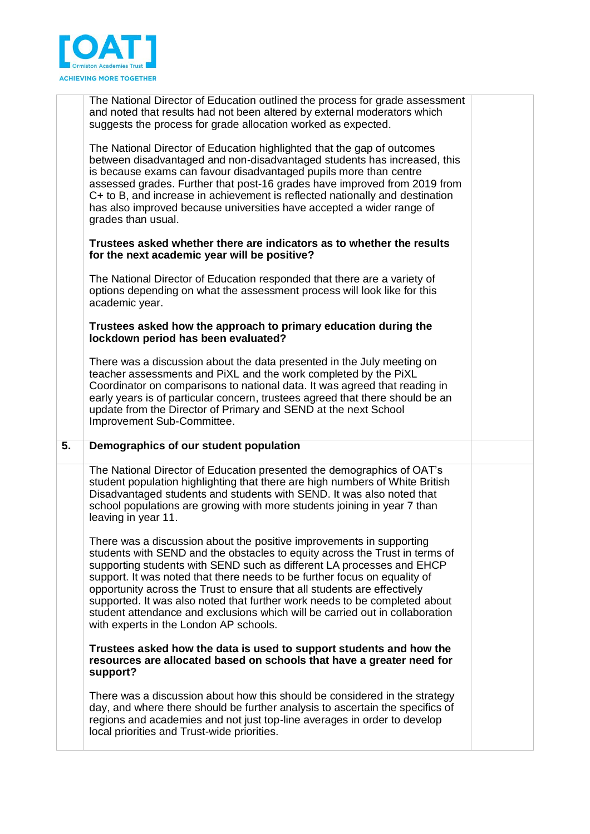

|    | The National Director of Education outlined the process for grade assessment<br>and noted that results had not been altered by external moderators which<br>suggests the process for grade allocation worked as expected.                                                                                                                                                                                                                                                                                                                                                                     |  |
|----|-----------------------------------------------------------------------------------------------------------------------------------------------------------------------------------------------------------------------------------------------------------------------------------------------------------------------------------------------------------------------------------------------------------------------------------------------------------------------------------------------------------------------------------------------------------------------------------------------|--|
|    | The National Director of Education highlighted that the gap of outcomes<br>between disadvantaged and non-disadvantaged students has increased, this<br>is because exams can favour disadvantaged pupils more than centre<br>assessed grades. Further that post-16 grades have improved from 2019 from<br>C+ to B, and increase in achievement is reflected nationally and destination<br>has also improved because universities have accepted a wider range of<br>grades than usual.                                                                                                          |  |
|    | Trustees asked whether there are indicators as to whether the results<br>for the next academic year will be positive?                                                                                                                                                                                                                                                                                                                                                                                                                                                                         |  |
|    | The National Director of Education responded that there are a variety of<br>options depending on what the assessment process will look like for this<br>academic year.                                                                                                                                                                                                                                                                                                                                                                                                                        |  |
|    | Trustees asked how the approach to primary education during the<br>lockdown period has been evaluated?                                                                                                                                                                                                                                                                                                                                                                                                                                                                                        |  |
|    | There was a discussion about the data presented in the July meeting on<br>teacher assessments and PiXL and the work completed by the PiXL<br>Coordinator on comparisons to national data. It was agreed that reading in<br>early years is of particular concern, trustees agreed that there should be an<br>update from the Director of Primary and SEND at the next School<br>Improvement Sub-Committee.                                                                                                                                                                                     |  |
| 5. | Demographics of our student population                                                                                                                                                                                                                                                                                                                                                                                                                                                                                                                                                        |  |
|    | The National Director of Education presented the demographics of OAT's<br>student population highlighting that there are high numbers of White British<br>Disadvantaged students and students with SEND. It was also noted that<br>school populations are growing with more students joining in year 7 than<br>leaving in year 11.                                                                                                                                                                                                                                                            |  |
|    | There was a discussion about the positive improvements in supporting<br>students with SEND and the obstacles to equity across the Trust in terms of<br>supporting students with SEND such as different LA processes and EHCP<br>support. It was noted that there needs to be further focus on equality of<br>opportunity across the Trust to ensure that all students are effectively<br>supported. It was also noted that further work needs to be completed about<br>student attendance and exclusions which will be carried out in collaboration<br>with experts in the London AP schools. |  |
|    | Trustees asked how the data is used to support students and how the<br>resources are allocated based on schools that have a greater need for<br>support?                                                                                                                                                                                                                                                                                                                                                                                                                                      |  |
|    | There was a discussion about how this should be considered in the strategy<br>day, and where there should be further analysis to ascertain the specifics of<br>regions and academies and not just top-line averages in order to develop<br>local priorities and Trust-wide priorities.                                                                                                                                                                                                                                                                                                        |  |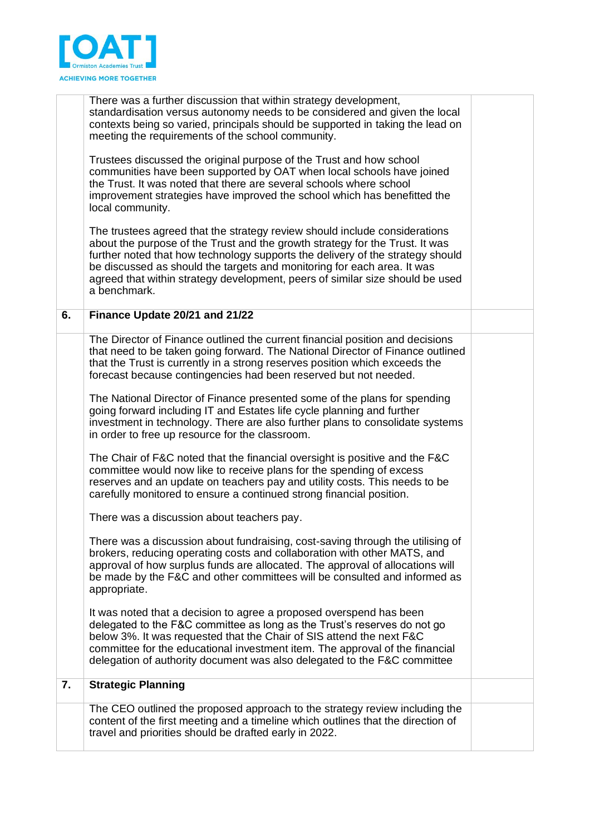

|    | There was a further discussion that within strategy development,<br>standardisation versus autonomy needs to be considered and given the local<br>contexts being so varied, principals should be supported in taking the lead on<br>meeting the requirements of the school community.                                                                                                                                    |  |
|----|--------------------------------------------------------------------------------------------------------------------------------------------------------------------------------------------------------------------------------------------------------------------------------------------------------------------------------------------------------------------------------------------------------------------------|--|
|    | Trustees discussed the original purpose of the Trust and how school<br>communities have been supported by OAT when local schools have joined<br>the Trust. It was noted that there are several schools where school<br>improvement strategies have improved the school which has benefitted the<br>local community.                                                                                                      |  |
|    | The trustees agreed that the strategy review should include considerations<br>about the purpose of the Trust and the growth strategy for the Trust. It was<br>further noted that how technology supports the delivery of the strategy should<br>be discussed as should the targets and monitoring for each area. It was<br>agreed that within strategy development, peers of similar size should be used<br>a benchmark. |  |
| 6. | Finance Update 20/21 and 21/22                                                                                                                                                                                                                                                                                                                                                                                           |  |
|    | The Director of Finance outlined the current financial position and decisions<br>that need to be taken going forward. The National Director of Finance outlined<br>that the Trust is currently in a strong reserves position which exceeds the<br>forecast because contingencies had been reserved but not needed.                                                                                                       |  |
|    | The National Director of Finance presented some of the plans for spending<br>going forward including IT and Estates life cycle planning and further<br>investment in technology. There are also further plans to consolidate systems<br>in order to free up resource for the classroom.                                                                                                                                  |  |
|    | The Chair of F&C noted that the financial oversight is positive and the F&C<br>committee would now like to receive plans for the spending of excess<br>reserves and an update on teachers pay and utility costs. This needs to be<br>carefully monitored to ensure a continued strong financial position.                                                                                                                |  |
|    | There was a discussion about teachers pay.                                                                                                                                                                                                                                                                                                                                                                               |  |
|    | There was a discussion about fundraising, cost-saving through the utilising of<br>brokers, reducing operating costs and collaboration with other MATS, and<br>approval of how surplus funds are allocated. The approval of allocations will<br>be made by the F&C and other committees will be consulted and informed as<br>appropriate.                                                                                 |  |
|    | It was noted that a decision to agree a proposed overspend has been<br>delegated to the F&C committee as long as the Trust's reserves do not go<br>below 3%. It was requested that the Chair of SIS attend the next F&C<br>committee for the educational investment item. The approval of the financial<br>delegation of authority document was also delegated to the F&C committee                                      |  |
| 7. | <b>Strategic Planning</b>                                                                                                                                                                                                                                                                                                                                                                                                |  |
|    | The CEO outlined the proposed approach to the strategy review including the<br>content of the first meeting and a timeline which outlines that the direction of<br>travel and priorities should be drafted early in 2022.                                                                                                                                                                                                |  |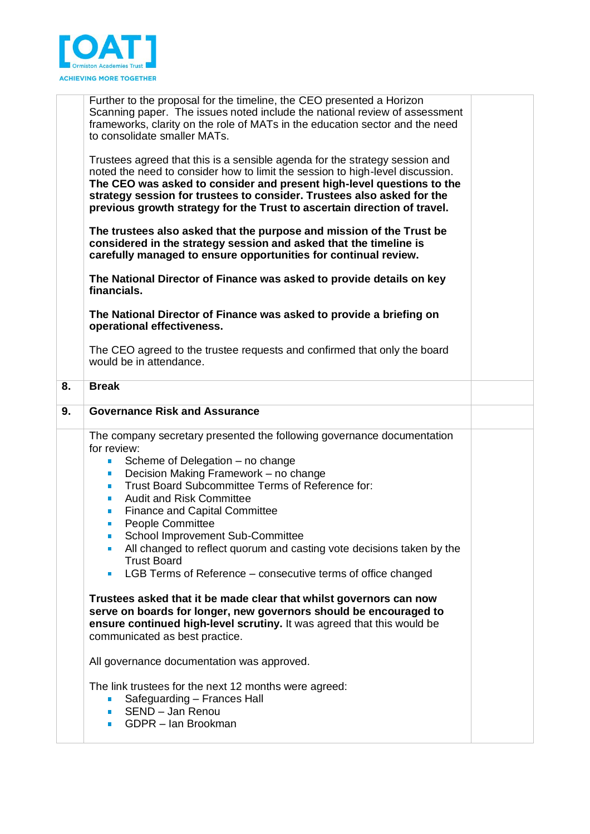

|    | Further to the proposal for the timeline, the CEO presented a Horizon<br>Scanning paper. The issues noted include the national review of assessment<br>frameworks, clarity on the role of MATs in the education sector and the need<br>to consolidate smaller MATs.                                                                                                                                                                                                                                                                                                                                                                                                     |  |
|----|-------------------------------------------------------------------------------------------------------------------------------------------------------------------------------------------------------------------------------------------------------------------------------------------------------------------------------------------------------------------------------------------------------------------------------------------------------------------------------------------------------------------------------------------------------------------------------------------------------------------------------------------------------------------------|--|
|    | Trustees agreed that this is a sensible agenda for the strategy session and<br>noted the need to consider how to limit the session to high-level discussion.<br>The CEO was asked to consider and present high-level questions to the<br>strategy session for trustees to consider. Trustees also asked for the<br>previous growth strategy for the Trust to ascertain direction of travel.                                                                                                                                                                                                                                                                             |  |
|    | The trustees also asked that the purpose and mission of the Trust be<br>considered in the strategy session and asked that the timeline is<br>carefully managed to ensure opportunities for continual review.                                                                                                                                                                                                                                                                                                                                                                                                                                                            |  |
|    | The National Director of Finance was asked to provide details on key<br>financials.                                                                                                                                                                                                                                                                                                                                                                                                                                                                                                                                                                                     |  |
|    | The National Director of Finance was asked to provide a briefing on<br>operational effectiveness.                                                                                                                                                                                                                                                                                                                                                                                                                                                                                                                                                                       |  |
|    | The CEO agreed to the trustee requests and confirmed that only the board<br>would be in attendance.                                                                                                                                                                                                                                                                                                                                                                                                                                                                                                                                                                     |  |
| 8. | <b>Break</b>                                                                                                                                                                                                                                                                                                                                                                                                                                                                                                                                                                                                                                                            |  |
| 9. | <b>Governance Risk and Assurance</b>                                                                                                                                                                                                                                                                                                                                                                                                                                                                                                                                                                                                                                    |  |
|    | The company secretary presented the following governance documentation<br>for review:<br>Scheme of Delegation – no change<br>$\blacksquare$<br>Decision Making Framework - no change<br>ш<br>Trust Board Subcommittee Terms of Reference for:<br>$\blacksquare$<br><b>Audit and Risk Committee</b><br>$\blacksquare$<br><b>Finance and Capital Committee</b><br>$\blacksquare$<br><b>People Committee</b><br>ш<br>School Improvement Sub-Committee<br>$\blacksquare$<br>All changed to reflect quorum and casting vote decisions taken by the<br>$\blacksquare$<br><b>Trust Board</b><br>LGB Terms of Reference – consecutive terms of office changed<br>$\blacksquare$ |  |
|    | Trustees asked that it be made clear that whilst governors can now<br>serve on boards for longer, new governors should be encouraged to<br>ensure continued high-level scrutiny. It was agreed that this would be<br>communicated as best practice.                                                                                                                                                                                                                                                                                                                                                                                                                     |  |
|    | All governance documentation was approved.                                                                                                                                                                                                                                                                                                                                                                                                                                                                                                                                                                                                                              |  |
|    | The link trustees for the next 12 months were agreed:<br>Safeguarding - Frances Hall<br>SEND - Jan Renou<br>$\blacksquare$<br>GDPR - Ian Brookman<br>$\blacksquare$                                                                                                                                                                                                                                                                                                                                                                                                                                                                                                     |  |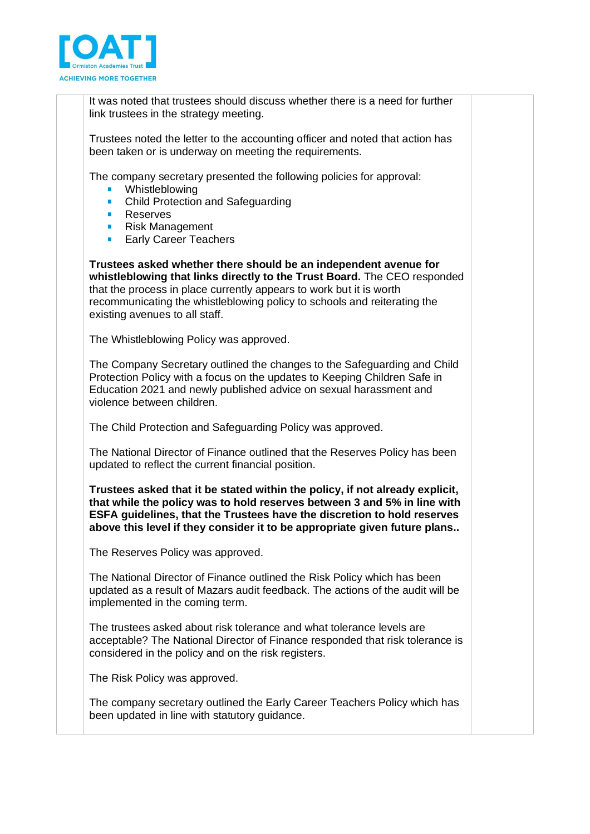

It was noted that trustees should discuss whether there is a need for further link trustees in the strategy meeting.

Trustees noted the letter to the accounting officer and noted that action has been taken or is underway on meeting the requirements.

The company secretary presented the following policies for approval:

- **•** Whistleblowing
- Child Protection and Safeguarding
- **Reserves**
- Risk Management **College**
- $\mathbf{r}$ Early Career Teachers

**Trustees asked whether there should be an independent avenue for whistleblowing that links directly to the Trust Board.** The CEO responded that the process in place currently appears to work but it is worth recommunicating the whistleblowing policy to schools and reiterating the existing avenues to all staff.

The Whistleblowing Policy was approved.

The Company Secretary outlined the changes to the Safeguarding and Child Protection Policy with a focus on the updates to Keeping Children Safe in Education 2021 and newly published advice on sexual harassment and violence between children.

The Child Protection and Safeguarding Policy was approved.

The National Director of Finance outlined that the Reserves Policy has been updated to reflect the current financial position.

**Trustees asked that it be stated within the policy, if not already explicit, that while the policy was to hold reserves between 3 and 5% in line with ESFA guidelines, that the Trustees have the discretion to hold reserves above this level if they consider it to be appropriate given future plans..** 

The Reserves Policy was approved.

The National Director of Finance outlined the Risk Policy which has been updated as a result of Mazars audit feedback. The actions of the audit will be implemented in the coming term.

The trustees asked about risk tolerance and what tolerance levels are acceptable? The National Director of Finance responded that risk tolerance is considered in the policy and on the risk registers.

The Risk Policy was approved.

The company secretary outlined the Early Career Teachers Policy which has been updated in line with statutory guidance.